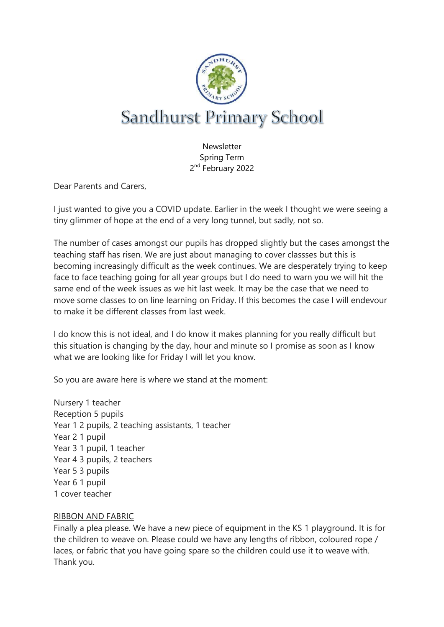

**Newsletter** Spring Term 2<sup>nd</sup> February 2022

Dear Parents and Carers,

I just wanted to give you a COVID update. Earlier in the week I thought we were seeing a tiny glimmer of hope at the end of a very long tunnel, but sadly, not so.

The number of cases amongst our pupils has dropped slightly but the cases amongst the teaching staff has risen. We are just about managing to cover classses but this is becoming increasingly difficult as the week continues. We are desperately trying to keep face to face teaching going for all year groups but I do need to warn you we will hit the same end of the week issues as we hit last week. It may be the case that we need to move some classes to on line learning on Friday. If this becomes the case I will endevour to make it be different classes from last week.

I do know this is not ideal, and I do know it makes planning for you really difficult but this situation is changing by the day, hour and minute so I promise as soon as I know what we are looking like for Friday I will let you know.

So you are aware here is where we stand at the moment:

Nursery 1 teacher Reception 5 pupils Year 1 2 pupils, 2 teaching assistants, 1 teacher Year 2 1 pupil Year 3 1 pupil, 1 teacher Year 4 3 pupils, 2 teachers Year 5 3 pupils Year 6 1 pupil 1 cover teacher

## RIBBON AND FABRIC

Finally a plea please. We have a new piece of equipment in the KS 1 playground. It is for the children to weave on. Please could we have any lengths of ribbon, coloured rope / laces, or fabric that you have going spare so the children could use it to weave with. Thank you.